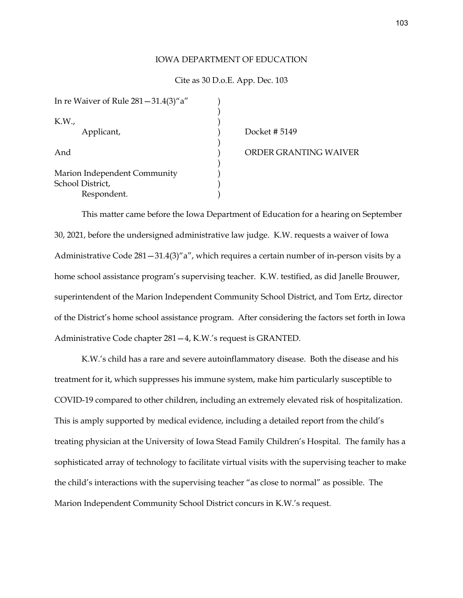## IOWA DEPARTMENT OF EDUCATION

## Cite as 30 D.o.E. App. Dec. 103

| In re Waiver of Rule $281 - 31.4(3)^{\prime\prime}$ a"          |  |
|-----------------------------------------------------------------|--|
| K.W.,<br>Applicant,                                             |  |
| And                                                             |  |
| Marion Independent Community<br>School District,<br>Respondent. |  |

Docket # 5149 ORDER GRANTING WAIVER

This matter came before the Iowa Department of Education for a hearing on September 30, 2021, before the undersigned administrative law judge. K.W. requests a waiver of Iowa Administrative Code 281—31.4(3)"a", which requires a certain number of in-person visits by a home school assistance program's supervising teacher. K.W. testified, as did Janelle Brouwer, superintendent of the Marion Independent Community School District, and Tom Ertz, director of the District's home school assistance program. After considering the factors set forth in Iowa Administrative Code chapter 281—4, K.W.'s request is GRANTED.

K.W.'s child has a rare and severe autoinflammatory disease. Both the disease and his treatment for it, which suppresses his immune system, make him particularly susceptible to COVID-19 compared to other children, including an extremely elevated risk of hospitalization. This is amply supported by medical evidence, including a detailed report from the child's treating physician at the University of Iowa Stead Family Children's Hospital. The family has a sophisticated array of technology to facilitate virtual visits with the supervising teacher to make the child's interactions with the supervising teacher "as close to normal" as possible. The Marion Independent Community School District concurs in K.W.'s request.